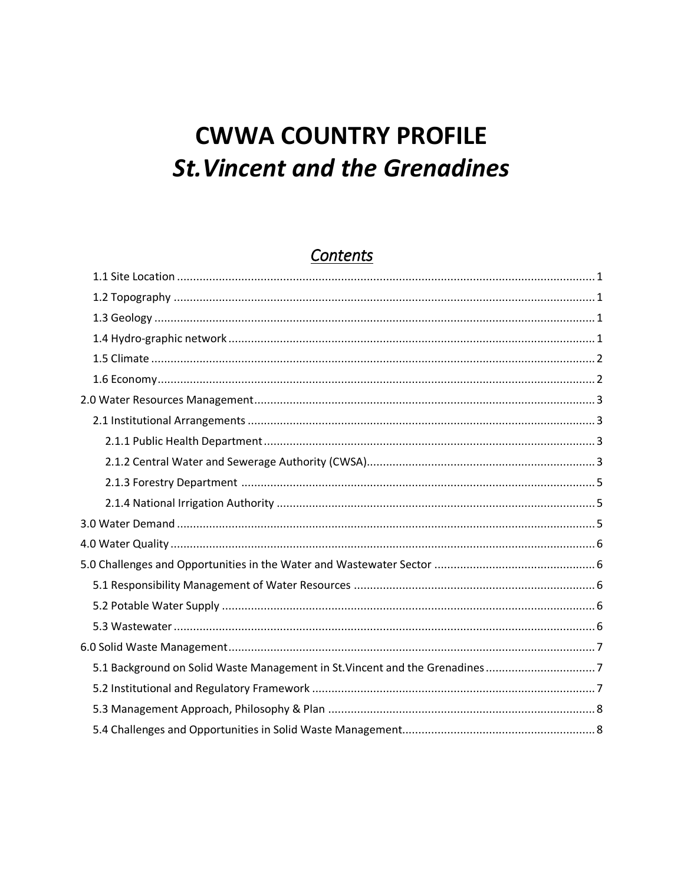# **CWWA COUNTRY PROFILE St. Vincent and the Grenadines**

## Contents

| 5.1 Background on Solid Waste Management in St. Vincent and the Grenadines 7 |  |
|------------------------------------------------------------------------------|--|
|                                                                              |  |
|                                                                              |  |
|                                                                              |  |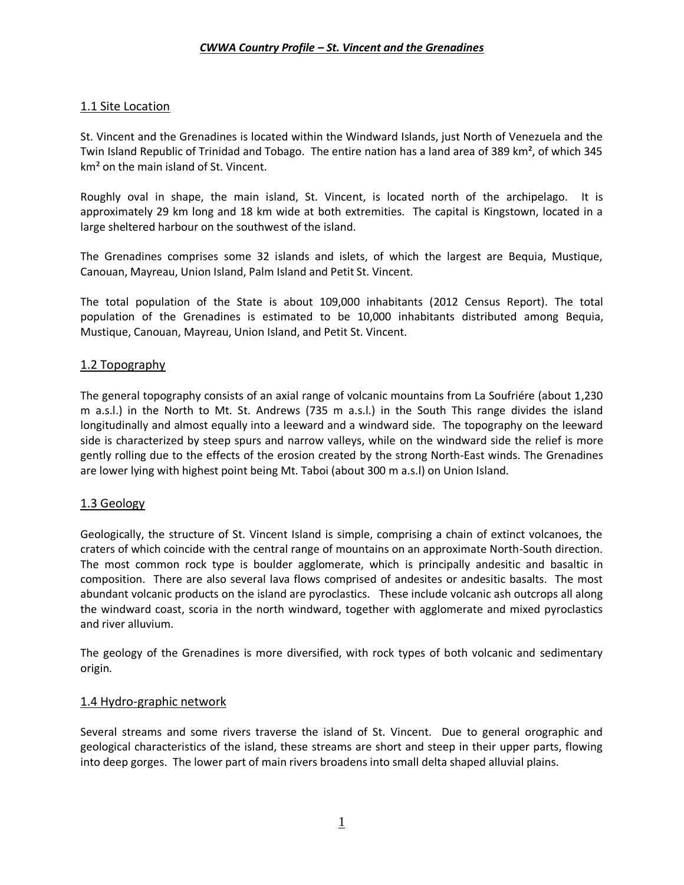### <span id="page-1-0"></span>1.1 Site Location

St. Vincent and the Grenadines is located within the Windward Islands, just North of Venezuela and the Twin Island Republic of Trinidad and Tobago. The entire nation has a land area of 389 km², of which 345 km² on the main island of St. Vincent.

Roughly oval in shape, the main island, St. Vincent, is located north of the archipelago. It is approximately 29 km long and 18 km wide at both extremities. The capital is Kingstown, located in a large sheltered harbour on the southwest of the island.

The Grenadines comprises some 32 islands and islets, of which the largest are Bequia, Mustique, Canouan, Mayreau, Union Island, Palm Island and Petit St. Vincent.

The total population of the State is about 109,000 inhabitants (2012 Census Report). The total population of the Grenadines is estimated to be 10,000 inhabitants distributed among Bequia, Mustique, Canouan, Mayreau, Union Island, and Petit St. Vincent.

### <span id="page-1-1"></span>1.2 Topography

The general topography consists of an axial range of volcanic mountains from La Soufriére (about 1,230 m a.s.l.) in the North to Mt. St. Andrews (735 m a.s.l.) in the South This range divides the island longitudinally and almost equally into a leeward and a windward side. The topography on the leeward side is characterized by steep spurs and narrow valleys, while on the windward side the relief is more gently rolling due to the effects of the erosion created by the strong North-East winds. The Grenadines are lower lying with highest point being Mt. Taboi (about 300 m a.s.l) on Union Island.

### <span id="page-1-2"></span>1.3 Geology

Geologically, the structure of St. Vincent Island is simple, comprising a chain of extinct volcanoes, the craters of which coincide with the central range of mountains on an approximate North-South direction. The most common rock type is boulder agglomerate, which is principally andesitic and basaltic in composition. There are also several lava flows comprised of andesites or andesitic basalts. The most abundant volcanic products on the island are pyroclastics. These include volcanic ash outcrops all along the windward coast, scoria in the north windward, together with agglomerate and mixed pyroclastics and river alluvium.

The geology of the Grenadines is more diversified, with rock types of both volcanic and sedimentary origin.

### <span id="page-1-3"></span>1.4 Hydro-graphic network

Several streams and some rivers traverse the island of St. Vincent. Due to general orographic and geological characteristics of the island, these streams are short and steep in their upper parts, flowing into deep gorges. The lower part of main rivers broadens into small delta shaped alluvial plains.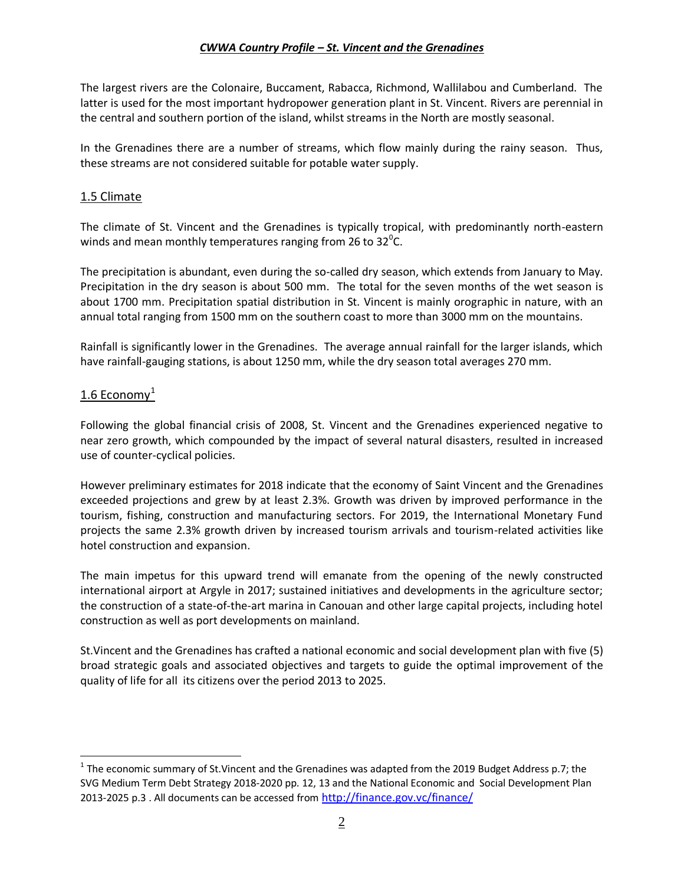The largest rivers are the Colonaire, Buccament, Rabacca, Richmond, Wallilabou and Cumberland. The latter is used for the most important hydropower generation plant in St. Vincent. Rivers are perennial in the central and southern portion of the island, whilst streams in the North are mostly seasonal.

In the Grenadines there are a number of streams, which flow mainly during the rainy season. Thus, these streams are not considered suitable for potable water supply.

### <span id="page-2-0"></span>1.5 Climate

The climate of St. Vincent and the Grenadines is typically tropical, with predominantly north-eastern winds and mean monthly temperatures ranging from 26 to 32<sup>0</sup>C.

The precipitation is abundant, even during the so-called dry season, which extends from January to May. Precipitation in the dry season is about 500 mm. The total for the seven months of the wet season is about 1700 mm. Precipitation spatial distribution in St. Vincent is mainly orographic in nature, with an annual total ranging from 1500 mm on the southern coast to more than 3000 mm on the mountains.

Rainfall is significantly lower in the Grenadines. The average annual rainfall for the larger islands, which have rainfall-gauging stations, is about 1250 mm, while the dry season total averages 270 mm.

### <span id="page-2-1"></span>1.6 Economy $<sup>1</sup>$ </sup>

<span id="page-2-2"></span> $\overline{a}$ 

Following the global financial crisis of 2008, St. Vincent and the Grenadines experienced negative to near zero growth, which compounded by the impact of several natural disasters, resulted in increased use of counter-cyclical policies.

However preliminary estimates for 2018 indicate that the economy of Saint Vincent and the Grenadines exceeded projections and grew by at least 2.3%. Growth was driven by improved performance in the tourism, fishing, construction and manufacturing sectors. For 2019, the International Monetary Fund projects the same 2.3% growth driven by increased tourism arrivals and tourism-related activities like hotel construction and expansion.

The main impetus for this upward trend will emanate from the opening of the newly constructed international airport at Argyle in 2017; sustained initiatives and developments in the agriculture sector; the construction of a state-of-the-art marina in Canouan and other large capital projects, including hotel construction as well as port developments on mainland.

St.Vincent and the Grenadines has crafted a national economic and social development plan with five (5) broad strategic goals and associated objectives and targets to guide the optimal improvement of the quality of life for all its citizens over the period 2013 to 2025.

 $^1$  The economic summary of St.Vincent and the Grenadines was adapted from the 2019 Budget Address p.7; the SVG Medium Term Debt Strategy 2018-2020 pp. 12, 13 and the National Economic and Social Development Plan 2013-2025 p.3. All documents can be accessed from <http://finance.gov.vc/finance/>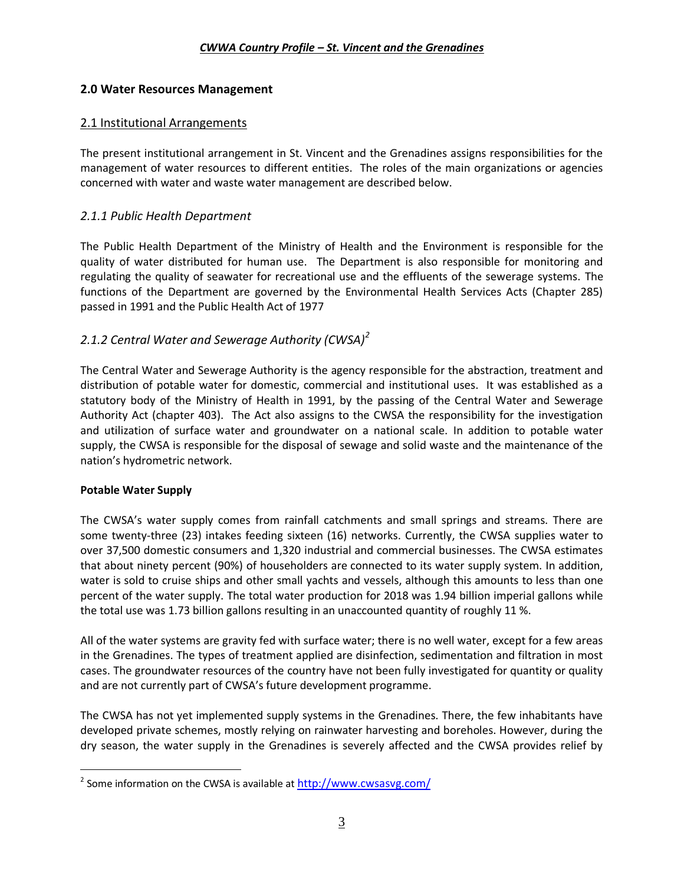### **2.0 Water Resources Management**

### <span id="page-3-0"></span>2.1 Institutional Arrangements

The present institutional arrangement in St. Vincent and the Grenadines assigns responsibilities for the management of water resources to different entities. The roles of the main organizations or agencies concerned with water and waste water management are described below.

### <span id="page-3-1"></span>*2.1.1 Public Health Department*

The Public Health Department of the Ministry of Health and the Environment is responsible for the quality of water distributed for human use. The Department is also responsible for monitoring and regulating the quality of seawater for recreational use and the effluents of the sewerage systems. The functions of the Department are governed by the Environmental Health Services Acts (Chapter 285) passed in 1991 and the Public Health Act of 1977

### <span id="page-3-2"></span>*2.1.2 Central Water and Sewerage Authority (CWSA)<sup>2</sup>*

The Central Water and Sewerage Authority is the agency responsible for the abstraction, treatment and distribution of potable water for domestic, commercial and institutional uses. It was established as a statutory body of the Ministry of Health in 1991, by the passing of the Central Water and Sewerage Authority Act (chapter 403). The Act also assigns to the CWSA the responsibility for the investigation and utilization of surface water and groundwater on a national scale. In addition to potable water supply, the CWSA is responsible for the disposal of sewage and solid waste and the maintenance of the nation's hydrometric network.

### **Potable Water Supply**

 $\overline{a}$ 

The CWSA's water supply comes from rainfall catchments and small springs and streams. There are some twenty-three (23) intakes feeding sixteen (16) networks. Currently, the CWSA supplies water to over 37,500 domestic consumers and 1,320 industrial and commercial businesses. The CWSA estimates that about ninety percent (90%) of householders are connected to its water supply system. In addition, water is sold to cruise ships and other small yachts and vessels, although this amounts to less than one percent of the water supply. The total water production for 2018 was 1.94 billion imperial gallons while the total use was 1.73 billion gallons resulting in an unaccounted quantity of roughly 11 %.

All of the water systems are gravity fed with surface water; there is no well water, except for a few areas in the Grenadines. The types of treatment applied are disinfection, sedimentation and filtration in most cases. The groundwater resources of the country have not been fully investigated for quantity or quality and are not currently part of CWSA's future development programme.

The CWSA has not yet implemented supply systems in the Grenadines. There, the few inhabitants have developed private schemes, mostly relying on rainwater harvesting and boreholes. However, during the dry season, the water supply in the Grenadines is severely affected and the CWSA provides relief by

<sup>&</sup>lt;sup>2</sup> Some information on the CWSA is available at <http://www.cwsasvg.com/>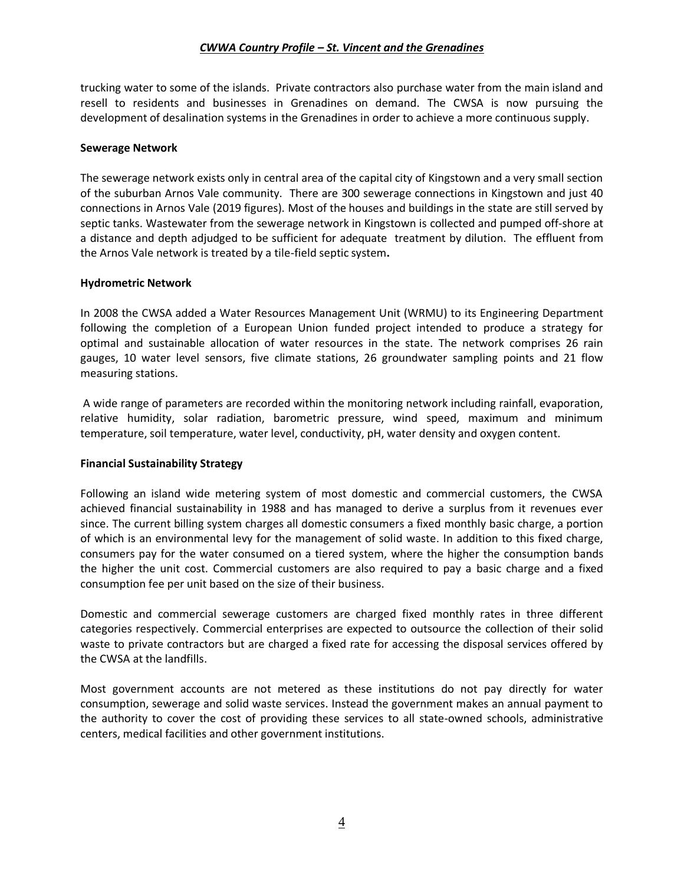trucking water to some of the islands. Private contractors also purchase water from the main island and resell to residents and businesses in Grenadines on demand. The CWSA is now pursuing the development of desalination systems in the Grenadines in order to achieve a more continuous supply.

#### **Sewerage Network**

The sewerage network exists only in central area of the capital city of Kingstown and a very small section of the suburban Arnos Vale community. There are 300 sewerage connections in Kingstown and just 40 connections in Arnos Vale (2019 figures). Most of the houses and buildings in the state are still served by septic tanks. Wastewater from the sewerage network in Kingstown is collected and pumped off-shore at a distance and depth adjudged to be sufficient for adequate treatment by dilution. The effluent from the Arnos Vale network is treated by a tile-field septic system**.** 

### **Hydrometric Network**

In 2008 the CWSA added a Water Resources Management Unit (WRMU) to its Engineering Department following the completion of a European Union funded project intended to produce a strategy for optimal and sustainable allocation of water resources in the state. The network comprises 26 rain gauges, 10 water level sensors, five climate stations, 26 groundwater sampling points and 21 flow measuring stations.

A wide range of parameters are recorded within the monitoring network including rainfall, evaporation, relative humidity, solar radiation, barometric pressure, wind speed, maximum and minimum temperature, soil temperature, water level, conductivity, pH, water density and oxygen content.

### **Financial Sustainability Strategy**

Following an island wide metering system of most domestic and commercial customers, the CWSA achieved financial sustainability in 1988 and has managed to derive a surplus from it revenues ever since. The current billing system charges all domestic consumers a fixed monthly basic charge, a portion of which is an environmental levy for the management of solid waste. In addition to this fixed charge, consumers pay for the water consumed on a tiered system, where the higher the consumption bands the higher the unit cost. Commercial customers are also required to pay a basic charge and a fixed consumption fee per unit based on the size of their business.

Domestic and commercial sewerage customers are charged fixed monthly rates in three different categories respectively. Commercial enterprises are expected to outsource the collection of their solid waste to private contractors but are charged a fixed rate for accessing the disposal services offered by the CWSA at the landfills.

Most government accounts are not metered as these institutions do not pay directly for water consumption, sewerage and solid waste services. Instead the government makes an annual payment to the authority to cover the cost of providing these services to all state-owned schools, administrative centers, medical facilities and other government institutions.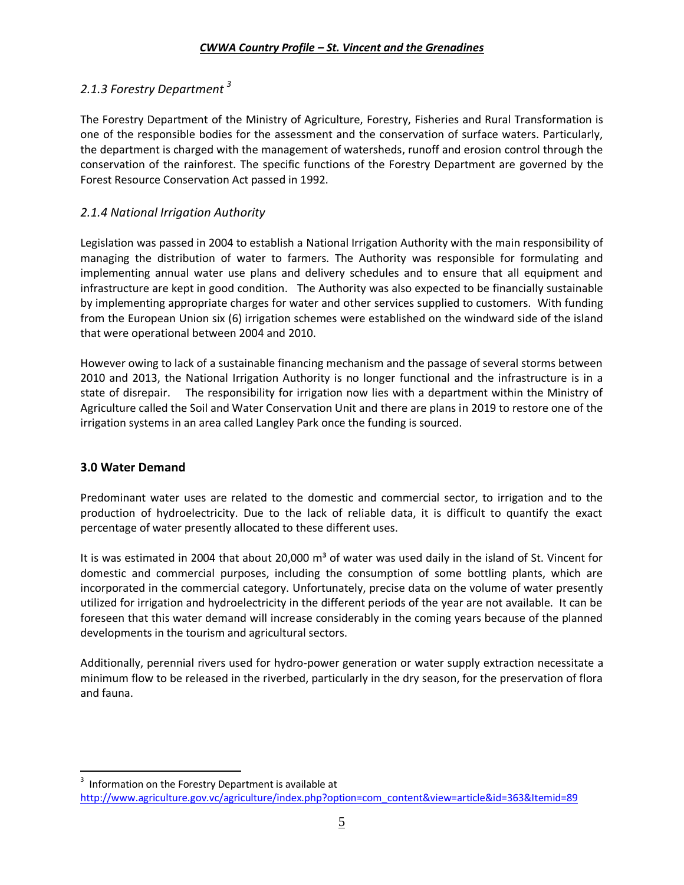### <span id="page-5-0"></span>*2.1.3 Forestry Department <sup>3</sup>*

The Forestry Department of the Ministry of Agriculture, Forestry, Fisheries and Rural Transformation is one of the responsible bodies for the assessment and the conservation of surface waters. Particularly, the department is charged with the management of watersheds, runoff and erosion control through the conservation of the rainforest. The specific functions of the Forestry Department are governed by the Forest Resource Conservation Act passed in 1992.

### <span id="page-5-1"></span>*2.1.4 National Irrigation Authority*

Legislation was passed in 2004 to establish a National Irrigation Authority with the main responsibility of managing the distribution of water to farmers. The Authority was responsible for formulating and implementing annual water use plans and delivery schedules and to ensure that all equipment and infrastructure are kept in good condition. The Authority was also expected to be financially sustainable by implementing appropriate charges for water and other services supplied to customers. With funding from the European Union six (6) irrigation schemes were established on the windward side of the island that were operational between 2004 and 2010.

However owing to lack of a sustainable financing mechanism and the passage of several storms between 2010 and 2013, the National Irrigation Authority is no longer functional and the infrastructure is in a state of disrepair. The responsibility for irrigation now lies with a department within the Ministry of Agriculture called the Soil and Water Conservation Unit and there are plans in 2019 to restore one of the irrigation systems in an area called Langley Park once the funding is sourced.

### <span id="page-5-2"></span>**3.0 Water Demand**

Predominant water uses are related to the domestic and commercial sector, to irrigation and to the production of hydroelectricity. Due to the lack of reliable data, it is difficult to quantify the exact percentage of water presently allocated to these different uses.

It is was estimated in 2004 that about 20,000 m<sup>3</sup> of water was used daily in the island of St. Vincent for domestic and commercial purposes, including the consumption of some bottling plants, which are incorporated in the commercial category. Unfortunately, precise data on the volume of water presently utilized for irrigation and hydroelectricity in the different periods of the year are not available. It can be foreseen that this water demand will increase considerably in the coming years because of the planned developments in the tourism and agricultural sectors.

Additionally, perennial rivers used for hydro-power generation or water supply extraction necessitate a minimum flow to be released in the riverbed, particularly in the dry season, for the preservation of flora and fauna.

<span id="page-5-3"></span> 3 Information on the Forestry Department is available at [http://www.agriculture.gov.vc/agriculture/index.php?option=com\\_content&view=article&id=363&Itemid=89](http://www.agriculture.gov.vc/agriculture/index.php?option=com_content&view=article&id=363&Itemid=89)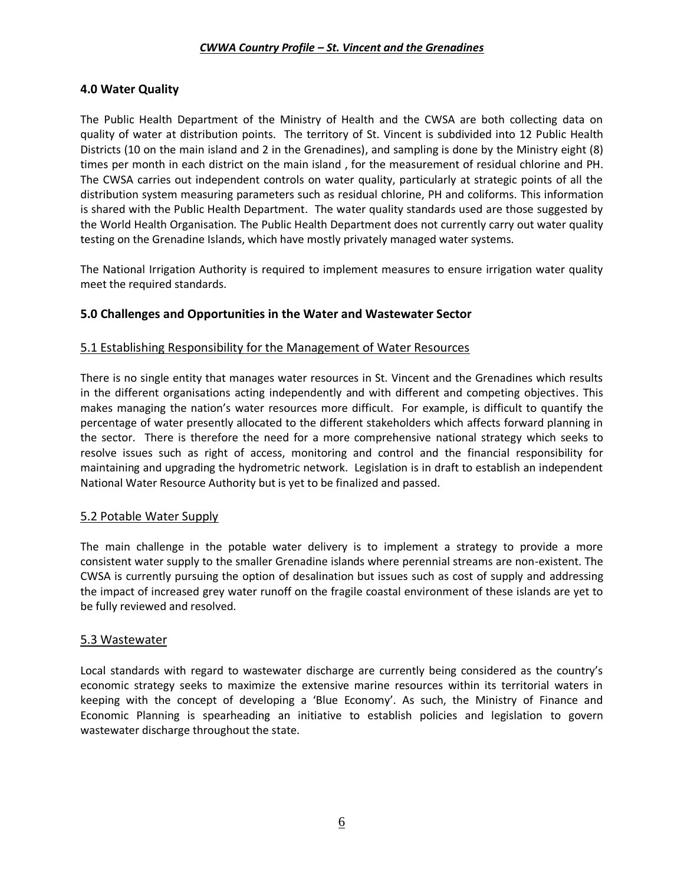### **4.0 Water Quality**

The Public Health Department of the Ministry of Health and the CWSA are both collecting data on quality of water at distribution points. The territory of St. Vincent is subdivided into 12 Public Health Districts (10 on the main island and 2 in the Grenadines), and sampling is done by the Ministry eight (8) times per month in each district on the main island , for the measurement of residual chlorine and PH. The CWSA carries out independent controls on water quality, particularly at strategic points of all the distribution system measuring parameters such as residual chlorine, PH and coliforms. This information is shared with the Public Health Department. The water quality standards used are those suggested by the World Health Organisation. The Public Health Department does not currently carry out water quality testing on the Grenadine Islands, which have mostly privately managed water systems.

The National Irrigation Authority is required to implement measures to ensure irrigation water quality meet the required standards.

### <span id="page-6-0"></span>**5.0 Challenges and Opportunities in the Water and Wastewater Sector**

### <span id="page-6-1"></span>5.1 Establishing Responsibility for the Management of Water Resources

There is no single entity that manages water resources in St. Vincent and the Grenadines which results in the different organisations acting independently and with different and competing objectives. This makes managing the nation's water resources more difficult. For example, is difficult to quantify the percentage of water presently allocated to the different stakeholders which affects forward planning in the sector. There is therefore the need for a more comprehensive national strategy which seeks to resolve issues such as right of access, monitoring and control and the financial responsibility for maintaining and upgrading the hydrometric network. Legislation is in draft to establish an independent National Water Resource Authority but is yet to be finalized and passed.

### <span id="page-6-2"></span>5.2 Potable Water Supply

The main challenge in the potable water delivery is to implement a strategy to provide a more consistent water supply to the smaller Grenadine islands where perennial streams are non-existent. The CWSA is currently pursuing the option of desalination but issues such as cost of supply and addressing the impact of increased grey water runoff on the fragile coastal environment of these islands are yet to be fully reviewed and resolved.

### <span id="page-6-3"></span>5.3 Wastewater

<span id="page-6-4"></span>Local standards with regard to wastewater discharge are currently being considered as the country's economic strategy seeks to maximize the extensive marine resources within its territorial waters in keeping with the concept of developing a 'Blue Economy'. As such, the Ministry of Finance and Economic Planning is spearheading an initiative to establish policies and legislation to govern wastewater discharge throughout the state.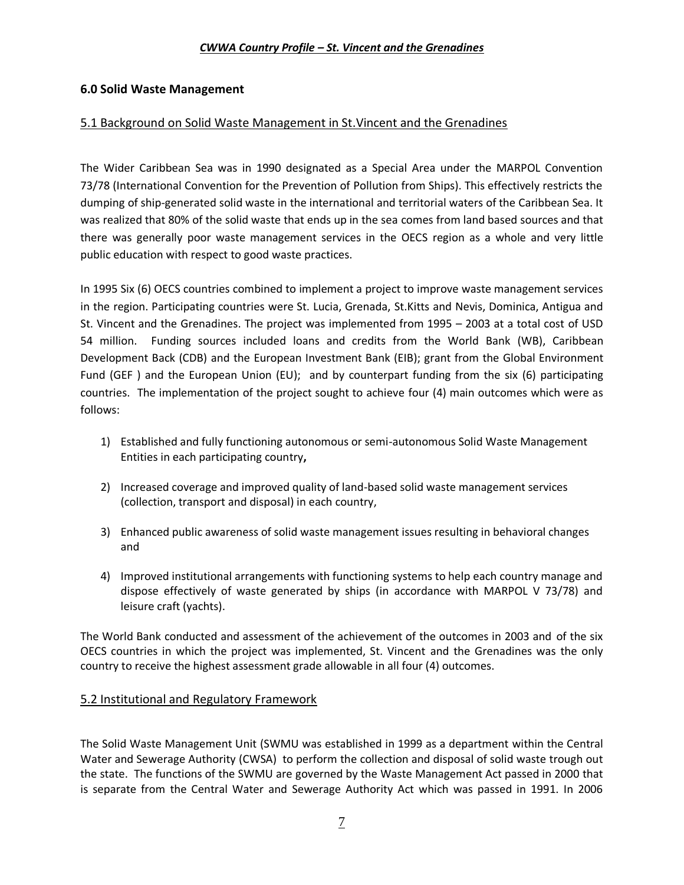### **6.0 Solid Waste Management**

### <span id="page-7-0"></span>5.1 Background on Solid Waste Management in St.Vincent and the Grenadines

The Wider Caribbean Sea was in 1990 designated as a Special Area under the MARPOL Convention 73/78 (International Convention for the Prevention of Pollution from Ships). This effectively restricts the dumping of ship-generated solid waste in the international and territorial waters of the Caribbean Sea. It was realized that 80% of the solid waste that ends up in the sea comes from land based sources and that there was generally poor waste management services in the OECS region as a whole and very little public education with respect to good waste practices.

In 1995 Six (6) OECS countries combined to implement a project to improve waste management services in the region. Participating countries were St. Lucia, Grenada, St.Kitts and Nevis, Dominica, Antigua and St. Vincent and the Grenadines. The project was implemented from 1995 – 2003 at a total cost of USD 54 million. Funding sources included loans and credits from the World Bank (WB), Caribbean Development Back (CDB) and the European Investment Bank (EIB); grant from the Global Environment Fund (GEF ) and the European Union (EU); and by counterpart funding from the six (6) participating countries. The implementation of the project sought to achieve four (4) main outcomes which were as follows:

- 1) Established and fully functioning autonomous or semi-autonomous Solid Waste Management Entities in each participating country**,**
- 2) Increased coverage and improved quality of land-based solid waste management services (collection, transport and disposal) in each country,
- 3) Enhanced public awareness of solid waste management issues resulting in behavioral changes and
- 4) Improved institutional arrangements with functioning systems to help each country manage and dispose effectively of waste generated by ships (in accordance with MARPOL V 73/78) and leisure craft (yachts).

The World Bank conducted and assessment of the achievement of the outcomes in 2003 and of the six OECS countries in which the project was implemented, St. Vincent and the Grenadines was the only country to receive the highest assessment grade allowable in all four (4) outcomes.

### <span id="page-7-1"></span>5.2 Institutional and Regulatory Framework

The Solid Waste Management Unit (SWMU was established in 1999 as a department within the Central Water and Sewerage Authority (CWSA) to perform the collection and disposal of solid waste trough out the state. The functions of the SWMU are governed by the Waste Management Act passed in 2000 that is separate from the Central Water and Sewerage Authority Act which was passed in 1991. In 2006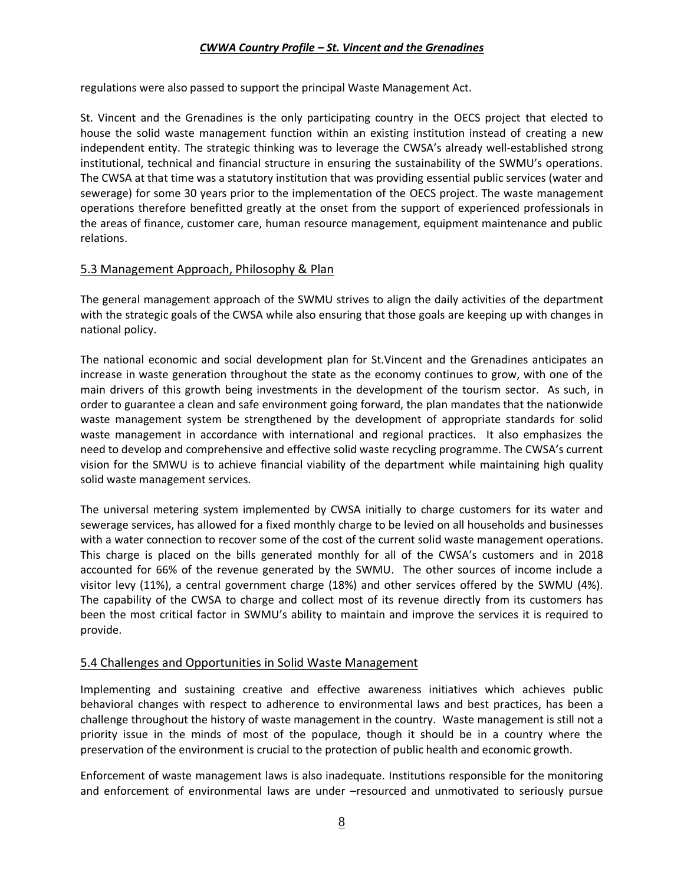regulations were also passed to support the principal Waste Management Act.

St. Vincent and the Grenadines is the only participating country in the OECS project that elected to house the solid waste management function within an existing institution instead of creating a new independent entity. The strategic thinking was to leverage the CWSA's already well-established strong institutional, technical and financial structure in ensuring the sustainability of the SWMU's operations. The CWSA at that time was a statutory institution that was providing essential public services (water and sewerage) for some 30 years prior to the implementation of the OECS project. The waste management operations therefore benefitted greatly at the onset from the support of experienced professionals in the areas of finance, customer care, human resource management, equipment maintenance and public relations.

### <span id="page-8-0"></span>5.3 Management Approach, Philosophy & Plan

The general management approach of the SWMU strives to align the daily activities of the department with the strategic goals of the CWSA while also ensuring that those goals are keeping up with changes in national policy.

The national economic and social development plan for St.Vincent and the Grenadines anticipates an increase in waste generation throughout the state as the economy continues to grow, with one of the main drivers of this growth being investments in the development of the tourism sector. As such, in order to guarantee a clean and safe environment going forward, the plan mandates that the nationwide waste management system be strengthened by the development of appropriate standards for solid waste management in accordance with international and regional practices. It also emphasizes the need to develop and comprehensive and effective solid waste recycling programme. The CWSA's current vision for the SMWU is to achieve financial viability of the department while maintaining high quality solid waste management services.

The universal metering system implemented by CWSA initially to charge customers for its water and sewerage services, has allowed for a fixed monthly charge to be levied on all households and businesses with a water connection to recover some of the cost of the current solid waste management operations. This charge is placed on the bills generated monthly for all of the CWSA's customers and in 2018 accounted for 66% of the revenue generated by the SWMU. The other sources of income include a visitor levy (11%), a central government charge (18%) and other services offered by the SWMU (4%). The capability of the CWSA to charge and collect most of its revenue directly from its customers has been the most critical factor in SWMU's ability to maintain and improve the services it is required to provide.

### <span id="page-8-1"></span>5.4 Challenges and Opportunities in Solid Waste Management

Implementing and sustaining creative and effective awareness initiatives which achieves public behavioral changes with respect to adherence to environmental laws and best practices, has been a challenge throughout the history of waste management in the country. Waste management is still not a priority issue in the minds of most of the populace, though it should be in a country where the preservation of the environment is crucial to the protection of public health and economic growth.

Enforcement of waste management laws is also inadequate. Institutions responsible for the monitoring and enforcement of environmental laws are under –resourced and unmotivated to seriously pursue